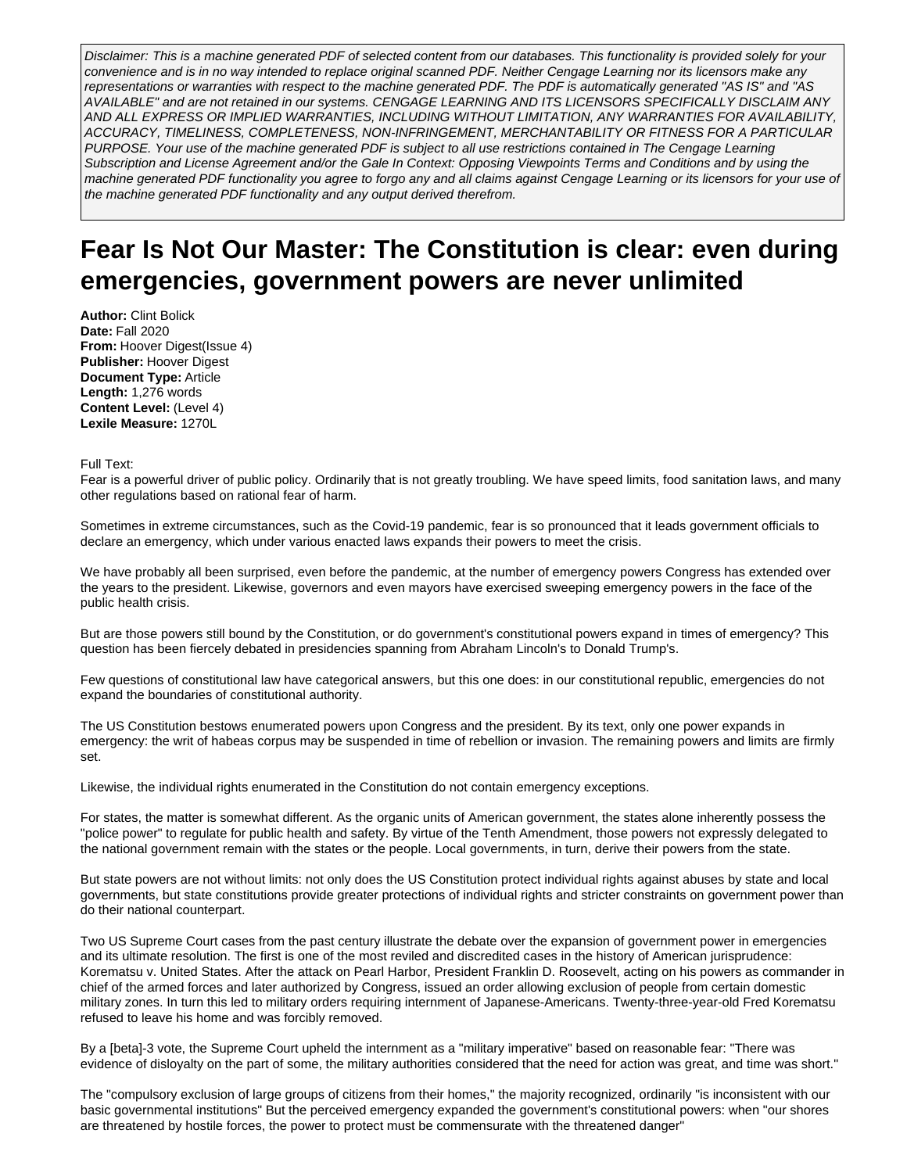Disclaimer: This is a machine generated PDF of selected content from our databases. This functionality is provided solely for your convenience and is in no way intended to replace original scanned PDF. Neither Cengage Learning nor its licensors make any representations or warranties with respect to the machine generated PDF. The PDF is automatically generated "AS IS" and "AS AVAILABLE" and are not retained in our systems. CENGAGE LEARNING AND ITS LICENSORS SPECIFICALLY DISCLAIM ANY AND ALL EXPRESS OR IMPLIED WARRANTIES, INCLUDING WITHOUT LIMITATION, ANY WARRANTIES FOR AVAILABILITY, ACCURACY, TIMELINESS, COMPLETENESS, NON-INFRINGEMENT, MERCHANTABILITY OR FITNESS FOR A PARTICULAR PURPOSE. Your use of the machine generated PDF is subject to all use restrictions contained in The Cengage Learning Subscription and License Agreement and/or the Gale In Context: Opposing Viewpoints Terms and Conditions and by using the machine generated PDF functionality you agree to forgo any and all claims against Cengage Learning or its licensors for your use of the machine generated PDF functionality and any output derived therefrom.

# **Fear Is Not Our Master: The Constitution is clear: even during emergencies, government powers are never unlimited**

**Author:** Clint Bolick **Date:** Fall 2020 **From:** Hoover Digest(Issue 4) **Publisher:** Hoover Digest **Document Type:** Article **Length:** 1,276 words **Content Level:** (Level 4) **Lexile Measure:** 1270L

Full Text:

Fear is a powerful driver of public policy. Ordinarily that is not greatly troubling. We have speed limits, food sanitation laws, and many other regulations based on rational fear of harm.

Sometimes in extreme circumstances, such as the Covid-19 pandemic, fear is so pronounced that it leads government officials to declare an emergency, which under various enacted laws expands their powers to meet the crisis.

We have probably all been surprised, even before the pandemic, at the number of emergency powers Congress has extended over the years to the president. Likewise, governors and even mayors have exercised sweeping emergency powers in the face of the public health crisis.

But are those powers still bound by the Constitution, or do government's constitutional powers expand in times of emergency? This question has been fiercely debated in presidencies spanning from Abraham Lincoln's to Donald Trump's.

Few questions of constitutional law have categorical answers, but this one does: in our constitutional republic, emergencies do not expand the boundaries of constitutional authority.

The US Constitution bestows enumerated powers upon Congress and the president. By its text, only one power expands in emergency: the writ of habeas corpus may be suspended in time of rebellion or invasion. The remaining powers and limits are firmly set.

Likewise, the individual rights enumerated in the Constitution do not contain emergency exceptions.

For states, the matter is somewhat different. As the organic units of American government, the states alone inherently possess the "police power" to regulate for public health and safety. By virtue of the Tenth Amendment, those powers not expressly delegated to the national government remain with the states or the people. Local governments, in turn, derive their powers from the state.

But state powers are not without limits: not only does the US Constitution protect individual rights against abuses by state and local governments, but state constitutions provide greater protections of individual rights and stricter constraints on government power than do their national counterpart.

Two US Supreme Court cases from the past century illustrate the debate over the expansion of government power in emergencies and its ultimate resolution. The first is one of the most reviled and discredited cases in the history of American jurisprudence: Korematsu v. United States. After the attack on Pearl Harbor, President Franklin D. Roosevelt, acting on his powers as commander in chief of the armed forces and later authorized by Congress, issued an order allowing exclusion of people from certain domestic military zones. In turn this led to military orders requiring internment of Japanese-Americans. Twenty-three-year-old Fred Korematsu refused to leave his home and was forcibly removed.

By a [beta]-3 vote, the Supreme Court upheld the internment as a "military imperative" based on reasonable fear: "There was evidence of disloyalty on the part of some, the military authorities considered that the need for action was great, and time was short."

The "compulsory exclusion of large groups of citizens from their homes," the majority recognized, ordinarily "is inconsistent with our basic governmental institutions" But the perceived emergency expanded the government's constitutional powers: when "our shores are threatened by hostile forces, the power to protect must be commensurate with the threatened danger"